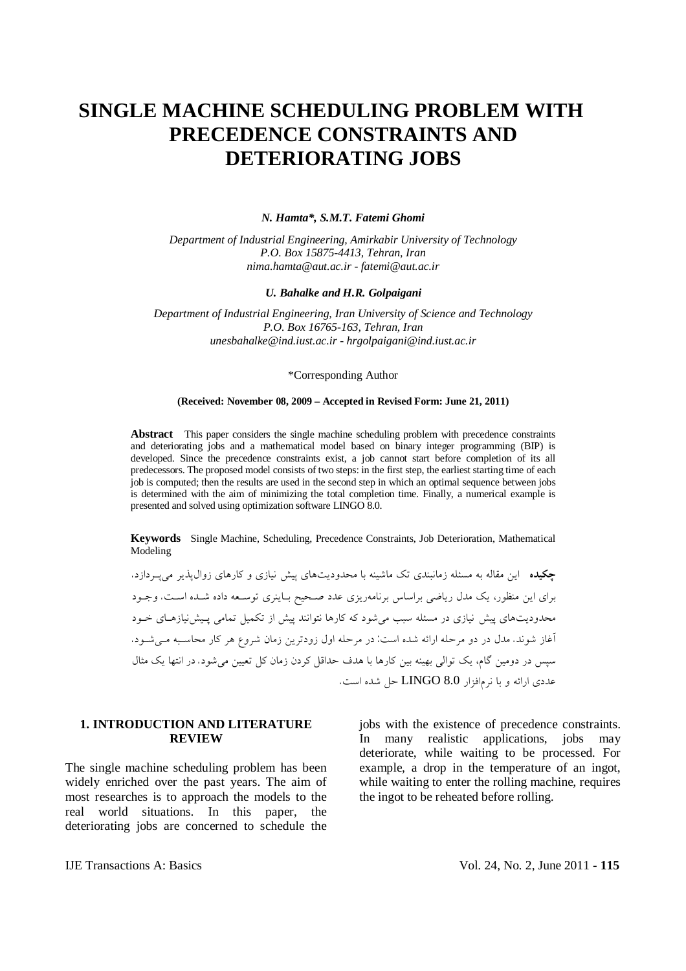# **SINGLE MACHINE SCHEDULING PROBLEM WITH PRECEDENCE CONSTRAINTS AND DETERIORATING JOBS**

#### *N. Hamta\*, S.M.T. Fatemi Ghomi*

*Department of Industrial Engineering, Amirkabir University of Technology P.O. Box 15875-4413, Tehran, Iran [nima.hamta@aut.ac.ir](mailto:nima.hamta@aut.ac.ir) - [fatemi@aut.ac.ir](mailto:fatemi@aut.ac.ir)*

#### *U. Bahalke and H.R. Golpaigani*

*Department of Industrial Engineering, Iran University of Science and Technology P.O. Box 16765-163, Tehran, Iran [unesbahalke@ind.iust.ac.ir](mailto:unesbahalke@ind.iust.ac.ir) - [hrgolpaigani@ind.iust.ac.ir](mailto:hrgolpaigani@ind.iust.ac.ir)*

## \*Corresponding Author

#### **(Received: November 08, 2009 – Accepted in Revised Form: June 21, 2011)**

Abstract This paper considers the single machine scheduling problem with precedence constraints and deteriorating jobs and a mathematical model based on binary integer programming (BIP) is developed. Since the precedence constraints exist, a job cannot start before completion of its all predecessors. The proposed model consists of two steps: in the first step, the earliest starting time of each job is computed; then the results are used in the second step in which an optimal sequence between jobs is determined with the aim of minimizing the total completion time. Finally, a numerical example is presented and solved using optimization software LINGO 8.0.

**Keywords** Single Machine, Scheduling, Precedence Constraints, Job Deterioration, Mathematical Modeling

**چکیده** این مقاله به مسئله زمانبندي تک ماشینه با محدودیتهاي پیش نیازي و کارهاي زوالپذیر میپـردازد. براي این منظور، یک مدل ریاضی براساس برنامهریزي عدد صـحیح بـاینري توسـعه داده شـده اسـت. وجـود محدودیتهاي پیش نیازي در مسئله سبب میشود که کارها نتوانند پیش از تکمیل تمامی پـیشنیازهـاي خـود آغاز شوند. مدل در دو مرحله ارائه شده است: در مرحله اول زودترین زمان شروع هر کار محاسـبه مـیشـود. سپس در دومین گام، یک توالی بهینه بین کارها با هدف حداقل کردن زمان کل تعیین میشود. در انتها یک مثال عددي ارائه و با نرمافزار 8.0 LINGO حل شده است.

# **1. INTRODUCTION AND LITERATURE REVIEW**

The single machine scheduling problem has been widely enriched over the past years. The aim of most researches is to approach the models to the real world situations. In this paper, the deteriorating jobs are concerned to schedule the

jobs with the existence of precedence constraints. In many realistic applications, jobs may deteriorate, while waiting to be processed. For example, a drop in the temperature of an ingot, while waiting to enter the rolling machine, requires the ingot to be reheated before rolling.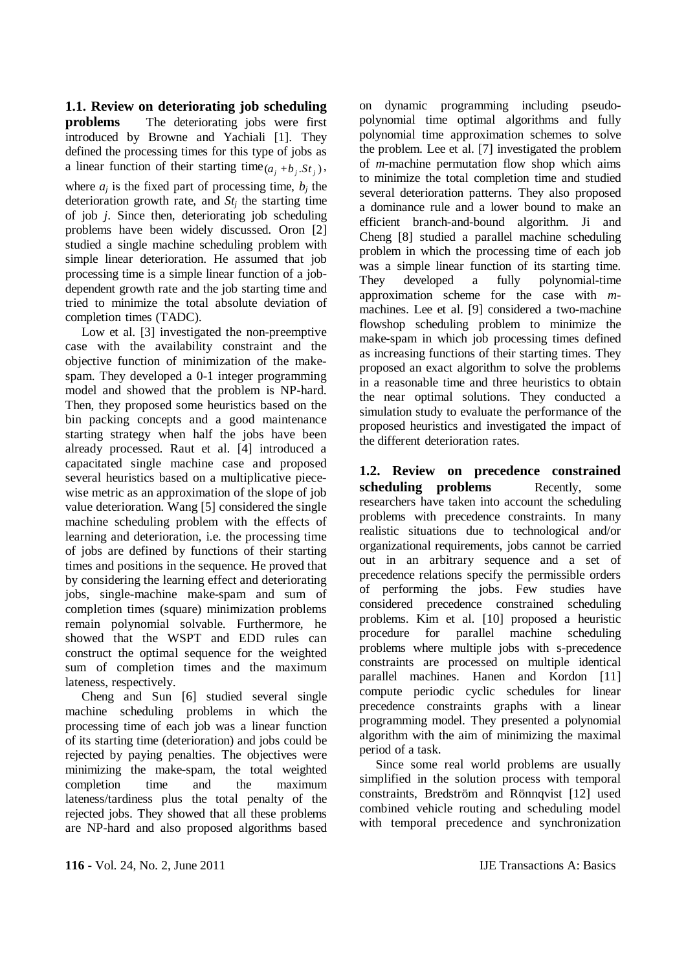**1.1. Review on deteriorating job scheduling** 

**problems** The deteriorating jobs were first introduced by Browne and Yachiali [1]. They defined the processing times for this type of jobs as a linear function of their starting time  $(a_i + b_i, St_i)$ , where  $a_i$  is the fixed part of processing time,  $b_i$  the deterioration growth rate, and *St<sup>j</sup>* the starting time of job *j*. Since then, deteriorating job scheduling problems have been widely discussed. Oron [2] studied a single machine scheduling problem with simple linear deterioration. He assumed that job processing time is a simple linear function of a jobdependent growth rate and the job starting time and tried to minimize the total absolute deviation of completion times (TADC).

Low et al. [3] investigated the non-preemptive case with the availability constraint and the objective function of minimization of the makespam. They developed a 0-1 integer programming model and showed that the problem is NP-hard. Then, they proposed some heuristics based on the bin packing concepts and a good maintenance starting strategy when half the jobs have been already processed. Raut et al. [4] introduced a capacitated single machine case and proposed several heuristics based on a multiplicative piecewise metric as an approximation of the slope of job value deterioration. Wang [5] considered the single machine scheduling problem with the effects of learning and deterioration, i.e. the processing time of jobs are defined by functions of their starting times and positions in the sequence. He proved that by considering the learning effect and deteriorating jobs, single-machine make-spam and sum of completion times (square) minimization problems remain polynomial solvable. Furthermore, he showed that the WSPT and EDD rules can construct the optimal sequence for the weighted sum of completion times and the maximum lateness, respectively.

Cheng and Sun [6] studied several single machine scheduling problems in which the processing time of each job was a linear function of its starting time (deterioration) and jobs could be rejected by paying penalties. The objectives were minimizing the make-spam, the total weighted completion time and the maximum lateness/tardiness plus the total penalty of the rejected jobs. They showed that all these problems are NP-hard and also proposed algorithms based on dynamic programming including pseudopolynomial time optimal algorithms and fully polynomial time approximation schemes to solve the problem. Lee et al. [7] investigated the problem of *m*-machine permutation flow shop which aims to minimize the total completion time and studied several deterioration patterns. They also proposed a dominance rule and a lower bound to make an efficient branch-and-bound algorithm. Ji and Cheng [8] studied a parallel machine scheduling problem in which the processing time of each job was a simple linear function of its starting time. They developed a fully polynomial-time approximation scheme for the case with *m*machines. Lee et al. [9] considered a two-machine flowshop scheduling problem to minimize the make-spam in which job processing times defined as increasing functions of their starting times. They proposed an exact algorithm to solve the problems in a reasonable time and three heuristics to obtain the near optimal solutions. They conducted a simulation study to evaluate the performance of the proposed heuristics and investigated the impact of the different deterioration rates.

**1.2. Review on precedence constrained scheduling problems** Recently, some researchers have taken into account the scheduling problems with precedence constraints. In many realistic situations due to technological and/or organizational requirements, jobs cannot be carried out in an arbitrary sequence and a set of precedence relations specify the permissible orders of performing the jobs. Few studies have considered precedence constrained scheduling problems. Kim et al. [10] proposed a heuristic procedure for parallel machine scheduling problems where multiple jobs with s-precedence constraints are processed on multiple identical parallel machines. Hanen and Kordon [11] compute periodic cyclic schedules for linear precedence constraints graphs with a linear programming model. They presented a polynomial algorithm with the aim of minimizing the maximal period of a task.

Since some real world problems are usually simplified in the solution process with temporal constraints, Bredström and Rönnqvist [12] used combined vehicle routing and scheduling model with temporal precedence and synchronization

**116** - Vol. 24, No. 2, June 2011 **IJE Transactions A: Basics**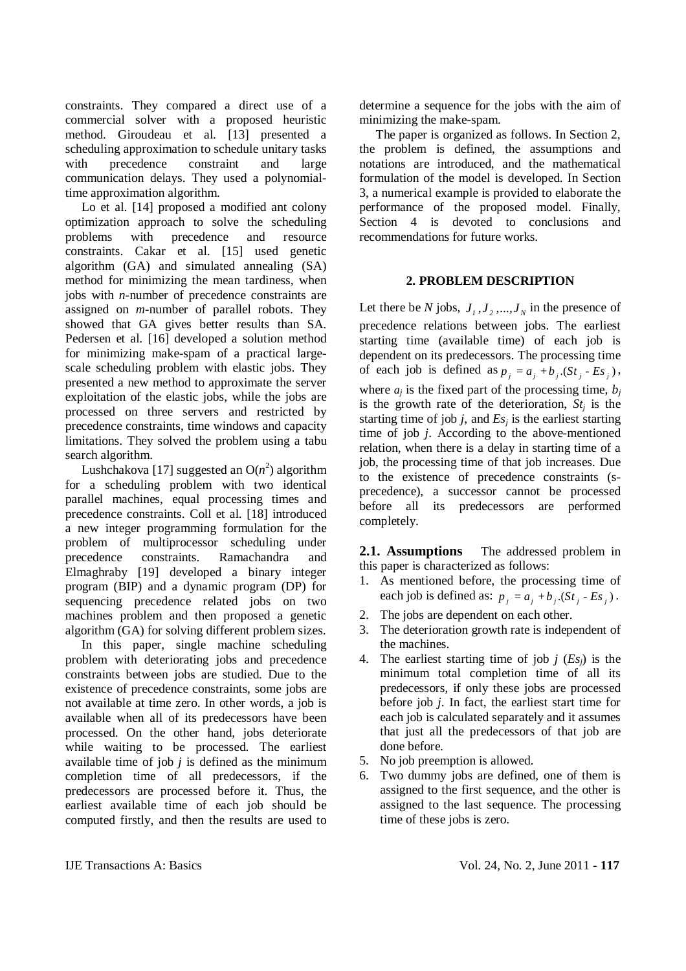constraints. They compared a direct use of a commercial solver with a proposed heuristic method. Giroudeau et al. [13] presented a scheduling approximation to schedule unitary tasks with precedence constraint and large communication delays. They used a polynomialtime approximation algorithm.

Lo et al. [14] proposed a modified ant colony optimization approach to solve the scheduling problems with precedence and resource constraints. Cakar et al. [15] used genetic algorithm (GA) and simulated annealing (SA) method for minimizing the mean tardiness, when jobs with *n*-number of precedence constraints are assigned on *m*-number of parallel robots. They showed that GA gives better results than SA. Pedersen et al. [16] developed a solution method for minimizing make-spam of a practical largescale scheduling problem with elastic jobs. They presented a new method to approximate the server exploitation of the elastic jobs, while the jobs are processed on three servers and restricted by precedence constraints, time windows and capacity limitations. They solved the problem using a tabu search algorithm.

Lushchakova [17] suggested an  $O(n^2)$  algorithm for a scheduling problem with two identical parallel machines, equal processing times and precedence constraints. Coll et al. [18] introduced a new integer programming formulation for the problem of multiprocessor scheduling under precedence constraints. Ramachandra and Elmaghraby [19] developed a binary integer program (BIP) and a dynamic program (DP) for sequencing precedence related jobs on two machines problem and then proposed a genetic algorithm (GA) for solving different problem sizes.

In this paper, single machine scheduling problem with deteriorating jobs and precedence constraints between jobs are studied. Due to the existence of precedence constraints, some jobs are not available at time zero. In other words, a job is available when all of its predecessors have been processed. On the other hand, jobs deteriorate while waiting to be processed. The earliest available time of job  $j$  is defined as the minimum completion time of all predecessors, if the predecessors are processed before it. Thus, the earliest available time of each job should be computed firstly, and then the results are used to

determine a sequence for the jobs with the aim of minimizing the make-spam.

The paper is organized as follows. In Section 2, the problem is defined, the assumptions and notations are introduced, and the mathematical formulation of the model is developed. In Section 3, a numerical example is provided to elaborate the performance of the proposed model. Finally, Section 4 is devoted to conclusions and recommendations for future works.

# **2. PROBLEM DESCRIPTION**

Let there be *N* jobs,  $J_1, J_2, ..., J_N$  in the presence of precedence relations between jobs. The earliest starting time (available time) of each job is dependent on its predecessors. The processing time of each job is defined as  $p_i = a_i + b_i$ .  $(St_i - Es_i)$ , where  $a_i$  is the fixed part of the processing time,  $b_i$ is the growth rate of the deterioration,  $St_i$  is the starting time of job  $j$ , and  $E_s$  is the earliest starting time of job *j*. According to the above-mentioned relation, when there is a delay in starting time of a job, the processing time of that job increases. Due to the existence of precedence constraints (sprecedence), a successor cannot be processed before all its predecessors are performed completely.

**2.1. Assumptions** The addressed problem in this paper is characterized as follows:

- 1. As mentioned before, the processing time of each job is defined as:  $p_i = a_i + b_i (St_i - Es_i)$ .
- 2. The jobs are dependent on each other.
- 3. The deterioration growth rate is independent of the machines.
- 4. The earliest starting time of job *j* (*Esj*) is the minimum total completion time of all its predecessors, if only these jobs are processed before job *j*. In fact, the earliest start time for each job is calculated separately and it assumes that just all the predecessors of that job are done before.
- 5. No job preemption is allowed.
- 6. Two dummy jobs are defined, one of them is assigned to the first sequence, and the other is assigned to the last sequence. The processing time of these jobs is zero.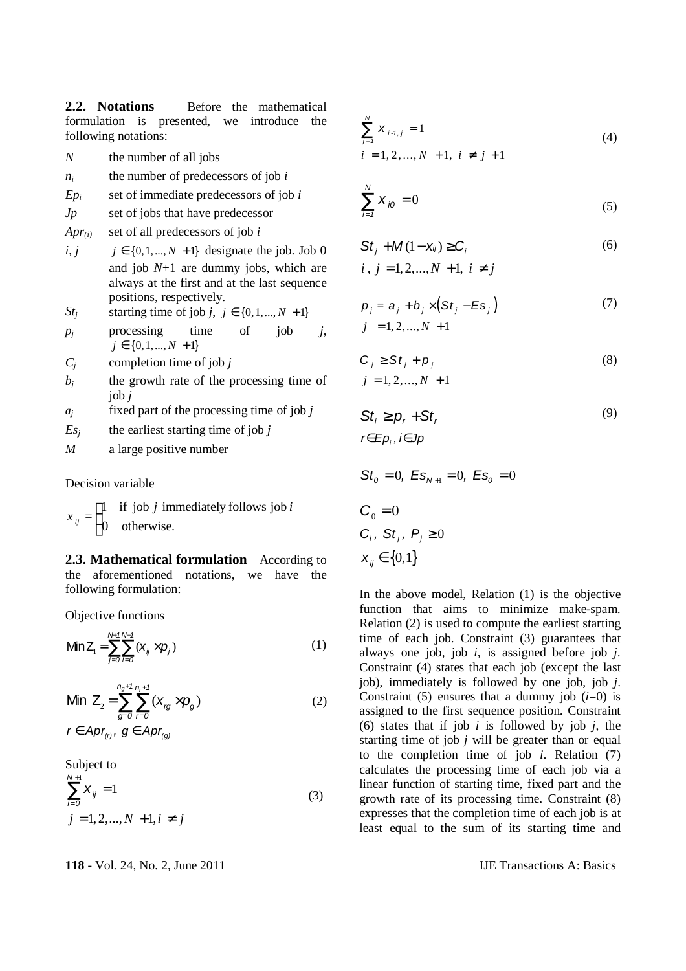2.2. **Notations** Before the mathematical formulation is presented, we introduce the following notations:

- *N* the number of all jobs
- $n_i$  the number of predecessors of job  $i$
- $Ep_i$  set of immediate predecessors of job *i*
- *Jp* set of jobs that have predecessor
- *Apr(i)* set of all predecessors of job *i*
- *i*, *j*  $j \in \{0, 1, ..., N + 1\}$  designate the job. Job 0 and job *N*+1 are dummy jobs, which are always at the first and at the last sequence positions, respectively.
- *St<sub>i</sub>* starting time of job *j*,  $j \in \{0, 1, ..., N + 1\}$
- $p_i$  processing time of job  $j$ ,  $j \in \{0, 1, ..., N + 1\}$
- *C<sup>j</sup>* completion time of job *j*
- $b_i$  the growth rate of the processing time of job *j*
- *a<sup>j</sup>* fixed part of the processing time of job *j*
- $E_s$ <sup>*j*</sup> the earliest starting time of job *j*
- *M* a large positive number

Decision variable

$$
x_{ij} = \begin{cases} 1 & \text{if job } j \text{ immediately follows job } i \\ 0 & \text{otherwise.} \end{cases}
$$

**2.3. Mathematical formulation** According to the aforementioned notations, we have the following formulation:

Objective functions

$$
\mathsf{Min}\,Z_{i} = \sum_{j=0}^{N+1} \sum_{i=0}^{N+1} (x_{ij} \times p_{j}) \tag{1}
$$

Min 
$$
Z_2 = \sum_{g=0}^{n_g+1} \sum_{r=0}^{n_r+1} (x_{rg} \times p_g)
$$
 (2)

*f* ∈ *Apr*<sub> $(r)$ </sub> *,*  $g$  ∈ *Apr*<sub> $(q)$ </sub>

Subject to  
\n
$$
\sum_{i=0}^{N+1} X_{ij} = 1
$$
\n(3)  
\n $j = 1, 2, ..., N + 1, i \neq j$ 

$$
\sum_{j=1}^{N} X_{i \cdot 1, j} = 1
$$
\n
$$
i = 1, 2, ..., N + 1, i \neq j + 1
$$
\n(4)

$$
\sum_{i=1}^{N} X_{i0} = 0
$$
 (5)

$$
St_j + M(1 - x_{ij}) \ge C_i \tag{6}
$$

 $i, j = 1, 2, ..., N + 1, i \neq j$ 

$$
p_j = a_j + b_j \times (St_j - Es_j)
$$
  
\n
$$
j = 1, 2, ..., N + 1
$$
\n(7)

$$
C_j \geq St_j + p_j
$$
  
\n
$$
j = 1, 2, ..., N + 1
$$
\n(8)

(9)

$$
Sti \ge pr + Str
$$
  

$$
r \in Epi, i \in Jp
$$

$$
Sto = 0, ESN+1 = 0, ESo = 0
$$
  

$$
Co = 0
$$
  

$$
Ci, Stj, Pj \ge 0
$$
  

$$
xij \in \{0,1\}
$$

In the above model, Relation (1) is the objective function that aims to minimize make-spam. Relation (2) is used to compute the earliest starting time of each job. Constraint (3) guarantees that always one job, job *i*, is assigned before job *j*. Constraint (4) states that each job (except the last job), immediately is followed by one job, job *j*. Constraint (5) ensures that a dummy job  $(i=0)$  is assigned to the first sequence position. Constraint (6) states that if job *i* is followed by job *j*, the starting time of job *j* will be greater than or equal to the completion time of job *i*. Relation (7) calculates the processing time of each job via a linear function of starting time, fixed part and the growth rate of its processing time. Constraint (8) expresses that the completion time of each job is at least equal to the sum of its starting time and

**11E** Transactions A: Basics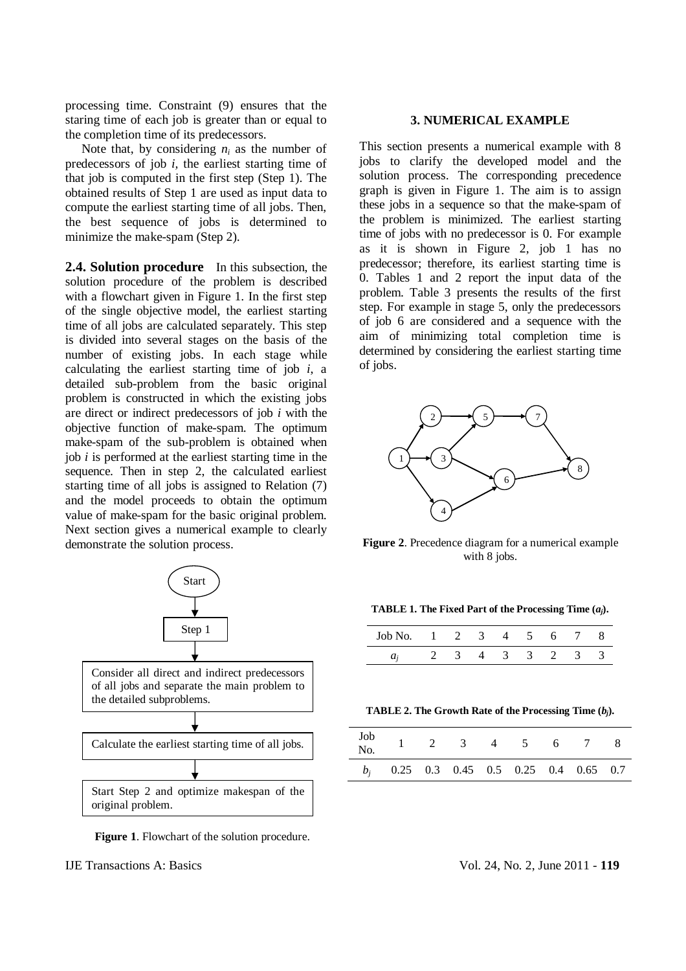processing time. Constraint (9) ensures that the staring time of each job is greater than or equal to the completion time of its predecessors.

Note that, by considering  $n_i$  as the number of predecessors of job *i,* the earliest starting time of that job is computed in the first step (Step 1). The obtained results of Step 1 are used as input data to compute the earliest starting time of all jobs. Then, the best sequence of jobs is determined to minimize the make-spam (Step 2).

**2.4. Solution procedure** In this subsection, the solution procedure of the problem is described with a flowchart given in Figure 1. In the first step of the single objective model, the earliest starting time of all jobs are calculated separately. This step is divided into several stages on the basis of the number of existing jobs. In each stage while calculating the earliest starting time of job *i*, a detailed sub-problem from the basic original problem is constructed in which the existing jobs are direct or indirect predecessors of job *i* with the objective function of make-spam. The optimum make-spam of the sub-problem is obtained when job *i* is performed at the earliest starting time in the sequence. Then in step 2, the calculated earliest starting time of all jobs is assigned to Relation (7) and the model proceeds to obtain the optimum value of make-spam for the basic original problem. Next section gives a numerical example to clearly demonstrate the solution process.



**Figure 1**. Flowchart of the solution procedure.

# **3. NUMERICAL EXAMPLE**

This section presents a numerical example with 8 jobs to clarify the developed model and the solution process. The corresponding precedence graph is given in Figure 1. The aim is to assign these jobs in a sequence so that the make-spam of the problem is minimized. The earliest starting time of jobs with no predecessor is 0. For example as it is shown in Figure 2, job 1 has no predecessor; therefore, its earliest starting time is 0. Tables 1 and 2 report the input data of the problem. Table 3 presents the results of the first step. For example in stage 5, only the predecessors of job 6 are considered and a sequence with the aim of minimizing total completion time is determined by considering the earliest starting time of jobs.



**Figure 2**. Precedence diagram for a numerical example with 8 jobs.

|  |  | <b>TABLE 1. The Fixed Part of the Processing Time <math>(a_j)</math>.</b> |  |  |
|--|--|---------------------------------------------------------------------------|--|--|
|--|--|---------------------------------------------------------------------------|--|--|

| Job No. | $1 \t2 \t3 \t4 \t5$ |  |                | 6 |  |
|---------|---------------------|--|----------------|---|--|
|         |                     |  | $\overline{3}$ |   |  |

**TABLE 2. The Growth Rate of the Processing Time (***bj***).** 

| Job<br>No. |                                           |  | $1 \t2 \t3 \t4 \t5 \t6 \t7 \t8$ |  |  |
|------------|-------------------------------------------|--|---------------------------------|--|--|
|            | $b_i$ 0.25 0.3 0.45 0.5 0.25 0.4 0.65 0.7 |  |                                 |  |  |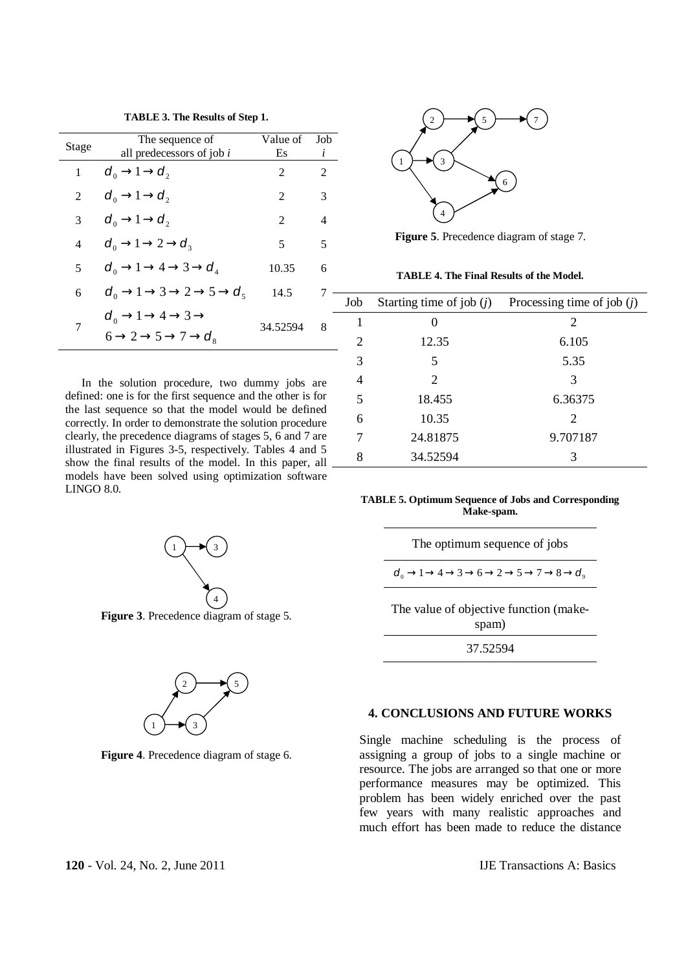**TABLE 3. The Results of Step 1.**

|       | The sequence of                                                                                                              | Value of       | Job |
|-------|------------------------------------------------------------------------------------------------------------------------------|----------------|-----|
| Stage | all predecessors of job i                                                                                                    | Es             | i   |
| 1     | $d_0 \rightarrow 1 \rightarrow d_2$                                                                                          | $\mathfrak{D}$ | 2   |
| 2     | $d_0 \rightarrow 1 \rightarrow d_2$                                                                                          | 2              | 3   |
| 3     | $d_0 \rightarrow 1 \rightarrow d_2$                                                                                          | 2              | 4   |
| 4     | $d_0 \rightarrow 1 \rightarrow 2 \rightarrow d_3$                                                                            | 5              | 5   |
| 5     | $d_0 \rightarrow 1 \rightarrow 4 \rightarrow 3 \rightarrow d_4$                                                              | 10.35          | 6   |
| 6     | $d_0 \rightarrow 1 \rightarrow 3 \rightarrow 2 \rightarrow 5 \rightarrow d_5$                                                | 14.5           | 7   |
| 7     | $d_0 \rightarrow 1 \rightarrow 4 \rightarrow 3 \rightarrow$<br>$6 \rightarrow 2 \rightarrow 5 \rightarrow 7 \rightarrow d_s$ | 34.52594       | 8   |

In the solution procedure, two dummy jobs are defined: one is for the first sequence and the other is for the last sequence so that the model would be defined correctly. In order to demonstrate the solution procedure clearly, the precedence diagrams of stages 5, 6 and 7 are illustrated in Figures 3-5, respectively. Tables 4 and 5 show the final results of the model. In this paper, all models have been solved using optimization software LINGO 8.0.



**Figure 3**. Precedence diagram of stage 5.



**Figure 4**. Precedence diagram of stage 6.



**Figure 5**. Precedence diagram of stage 7.

**TABLE 4. The Final Results of the Model.** 

| Job                         | Starting time of job $(i)$ | Processing time of job $(j)$ |
|-----------------------------|----------------------------|------------------------------|
| 1                           |                            | 2                            |
| $\mathcal{D}_{\mathcal{L}}$ | 12.35                      | 6.105                        |
| 3                           | 5                          | 5.35                         |
| 4                           | 2                          | 3                            |
| 5                           | 18.455                     | 6.36375                      |
| 6                           | 10.35                      | 2                            |
| 7                           | 24.81875                   | 9.707187                     |
| 8                           | 34.52594                   | 3                            |

**TABLE 5. Optimum Sequence of Jobs and Corresponding Make-spam.** 

| The optimum sequence of jobs |
|------------------------------|
|                              |

 $d_0 \rightarrow 1 \rightarrow 4 \rightarrow 3 \rightarrow 6 \rightarrow 2 \rightarrow 5 \rightarrow 7 \rightarrow 8 \rightarrow d_0$ 

The value of objective function (makespam)

37.52594

# **4. CONCLUSIONS AND FUTURE WORKS**

Single machine scheduling is the process of assigning a group of jobs to a single machine or resource. The jobs are arranged so that one or more performance measures may be optimized. This problem has been widely enriched over the past few years with many realistic approaches and much effort has been made to reduce the distance